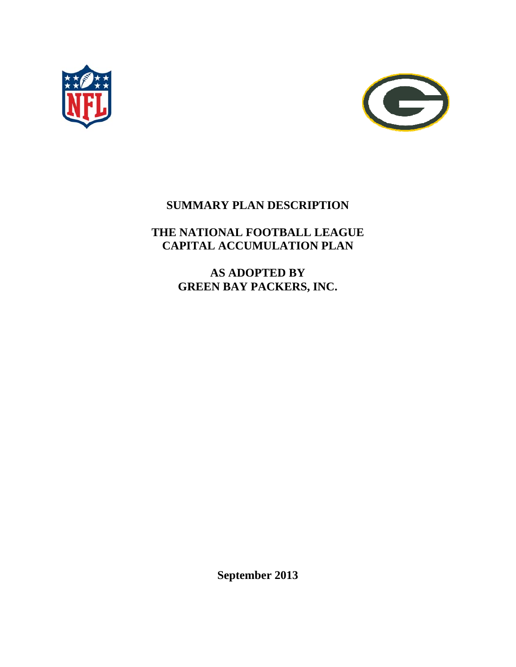



# **SUMMARY PLAN DESCRIPTION**

# **THE NATIONAL FOOTBALL LEAGUE CAPITAL ACCUMULATION PLAN**

**AS ADOPTED BY GREEN BAY PACKERS, INC.** 

**September 2013**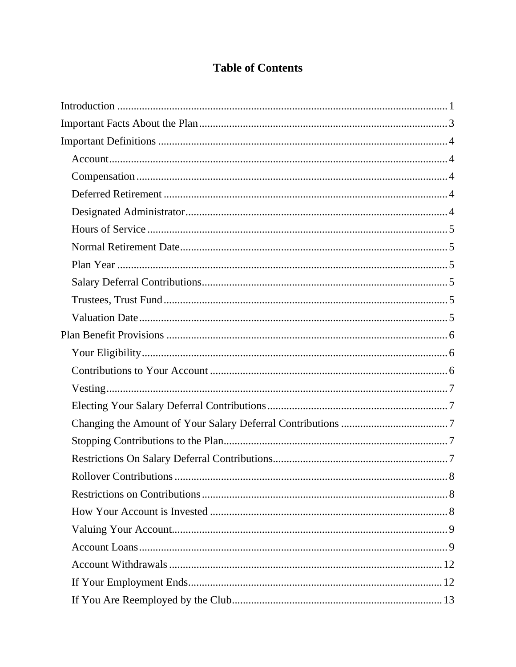# **Table of Contents**

| Rollover Contributions<br>8 |  |
|-----------------------------|--|
|                             |  |
|                             |  |
|                             |  |
|                             |  |
|                             |  |
|                             |  |
|                             |  |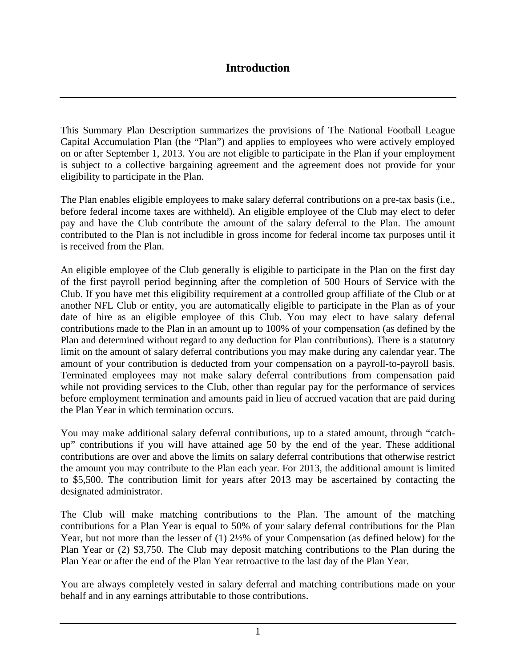This Summary Plan Description summarizes the provisions of The National Football League Capital Accumulation Plan (the "Plan") and applies to employees who were actively employed on or after September 1, 2013. You are not eligible to participate in the Plan if your employment is subject to a collective bargaining agreement and the agreement does not provide for your eligibility to participate in the Plan.

The Plan enables eligible employees to make salary deferral contributions on a pre-tax basis (i.e., before federal income taxes are withheld). An eligible employee of the Club may elect to defer pay and have the Club contribute the amount of the salary deferral to the Plan. The amount contributed to the Plan is not includible in gross income for federal income tax purposes until it is received from the Plan.

An eligible employee of the Club generally is eligible to participate in the Plan on the first day of the first payroll period beginning after the completion of 500 Hours of Service with the Club. If you have met this eligibility requirement at a controlled group affiliate of the Club or at another NFL Club or entity, you are automatically eligible to participate in the Plan as of your date of hire as an eligible employee of this Club. You may elect to have salary deferral contributions made to the Plan in an amount up to 100% of your compensation (as defined by the Plan and determined without regard to any deduction for Plan contributions). There is a statutory limit on the amount of salary deferral contributions you may make during any calendar year. The amount of your contribution is deducted from your compensation on a payroll-to-payroll basis. Terminated employees may not make salary deferral contributions from compensation paid while not providing services to the Club, other than regular pay for the performance of services before employment termination and amounts paid in lieu of accrued vacation that are paid during the Plan Year in which termination occurs.

You may make additional salary deferral contributions, up to a stated amount, through "catchup" contributions if you will have attained age 50 by the end of the year. These additional contributions are over and above the limits on salary deferral contributions that otherwise restrict the amount you may contribute to the Plan each year. For 2013, the additional amount is limited to \$5,500. The contribution limit for years after 2013 may be ascertained by contacting the designated administrator.

The Club will make matching contributions to the Plan. The amount of the matching contributions for a Plan Year is equal to 50% of your salary deferral contributions for the Plan Year, but not more than the lesser of (1) 2½% of your Compensation (as defined below) for the Plan Year or (2) \$3,750. The Club may deposit matching contributions to the Plan during the Plan Year or after the end of the Plan Year retroactive to the last day of the Plan Year.

You are always completely vested in salary deferral and matching contributions made on your behalf and in any earnings attributable to those contributions.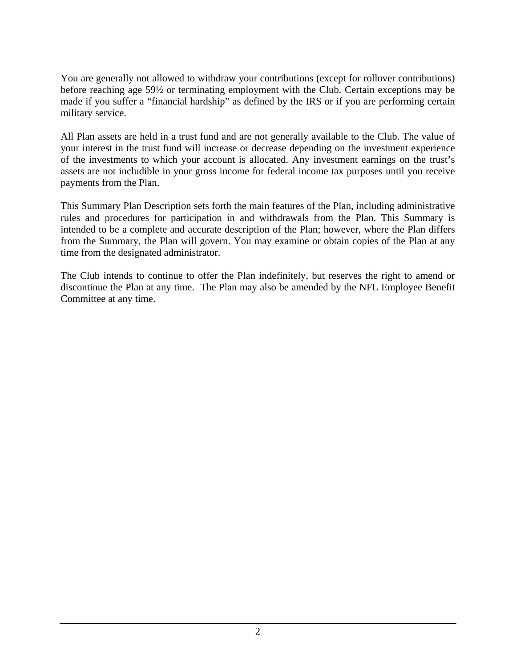You are generally not allowed to withdraw your contributions (except for rollover contributions) before reaching age 59½ or terminating employment with the Club. Certain exceptions may be made if you suffer a "financial hardship" as defined by the IRS or if you are performing certain military service.

All Plan assets are held in a trust fund and are not generally available to the Club. The value of your interest in the trust fund will increase or decrease depending on the investment experience of the investments to which your account is allocated. Any investment earnings on the trust's assets are not includible in your gross income for federal income tax purposes until you receive payments from the Plan.

This Summary Plan Description sets forth the main features of the Plan, including administrative rules and procedures for participation in and withdrawals from the Plan. This Summary is intended to be a complete and accurate description of the Plan; however, where the Plan differs from the Summary, the Plan will govern. You may examine or obtain copies of the Plan at any time from the designated administrator.

The Club intends to continue to offer the Plan indefinitely, but reserves the right to amend or discontinue the Plan at any time. The Plan may also be amended by the NFL Employee Benefit Committee at any time.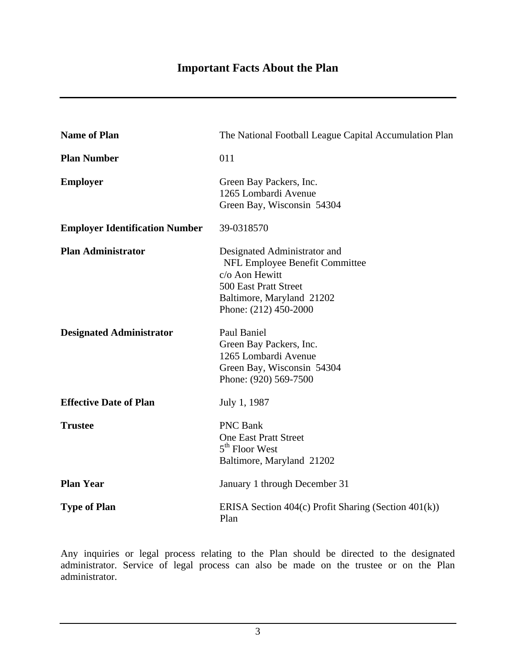| <b>Name of Plan</b>                   | The National Football League Capital Accumulation Plan                                                                                                          |  |
|---------------------------------------|-----------------------------------------------------------------------------------------------------------------------------------------------------------------|--|
| <b>Plan Number</b>                    | 011                                                                                                                                                             |  |
| <b>Employer</b>                       | Green Bay Packers, Inc.<br>1265 Lombardi Avenue<br>Green Bay, Wisconsin 54304                                                                                   |  |
| <b>Employer Identification Number</b> | 39-0318570                                                                                                                                                      |  |
| <b>Plan Administrator</b>             | Designated Administrator and<br>NFL Employee Benefit Committee<br>c/o Aon Hewitt<br>500 East Pratt Street<br>Baltimore, Maryland 21202<br>Phone: (212) 450-2000 |  |
| <b>Designated Administrator</b>       | Paul Baniel<br>Green Bay Packers, Inc.<br>1265 Lombardi Avenue<br>Green Bay, Wisconsin 54304<br>Phone: (920) 569-7500                                           |  |
| <b>Effective Date of Plan</b>         | July 1, 1987                                                                                                                                                    |  |
| <b>Trustee</b>                        | <b>PNC Bank</b><br><b>One East Pratt Street</b><br>$5th$ Floor West<br>Baltimore, Maryland 21202                                                                |  |
| <b>Plan Year</b>                      | January 1 through December 31                                                                                                                                   |  |
| <b>Type of Plan</b>                   | ERISA Section $404(c)$ Profit Sharing (Section $401(k)$ )<br>Plan                                                                                               |  |

Any inquiries or legal process relating to the Plan should be directed to the designated administrator. Service of legal process can also be made on the trustee or on the Plan administrator.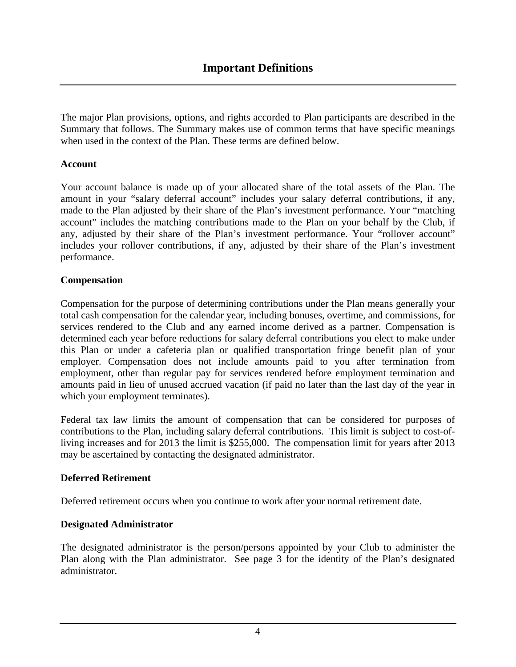The major Plan provisions, options, and rights accorded to Plan participants are described in the Summary that follows. The Summary makes use of common terms that have specific meanings when used in the context of the Plan. These terms are defined below.

#### **Account**

Your account balance is made up of your allocated share of the total assets of the Plan. The amount in your "salary deferral account" includes your salary deferral contributions, if any, made to the Plan adjusted by their share of the Plan's investment performance. Your "matching account" includes the matching contributions made to the Plan on your behalf by the Club, if any, adjusted by their share of the Plan's investment performance. Your "rollover account" includes your rollover contributions, if any, adjusted by their share of the Plan's investment performance.

#### **Compensation**

Compensation for the purpose of determining contributions under the Plan means generally your total cash compensation for the calendar year, including bonuses, overtime, and commissions, for services rendered to the Club and any earned income derived as a partner. Compensation is determined each year before reductions for salary deferral contributions you elect to make under this Plan or under a cafeteria plan or qualified transportation fringe benefit plan of your employer. Compensation does not include amounts paid to you after termination from employment, other than regular pay for services rendered before employment termination and amounts paid in lieu of unused accrued vacation (if paid no later than the last day of the year in which your employment terminates).

Federal tax law limits the amount of compensation that can be considered for purposes of contributions to the Plan, including salary deferral contributions. This limit is subject to cost-ofliving increases and for 2013 the limit is \$255,000. The compensation limit for years after 2013 may be ascertained by contacting the designated administrator.

#### **Deferred Retirement**

Deferred retirement occurs when you continue to work after your normal retirement date.

#### **Designated Administrator**

The designated administrator is the person/persons appointed by your Club to administer the Plan along with the Plan administrator. See page 3 for the identity of the Plan's designated administrator.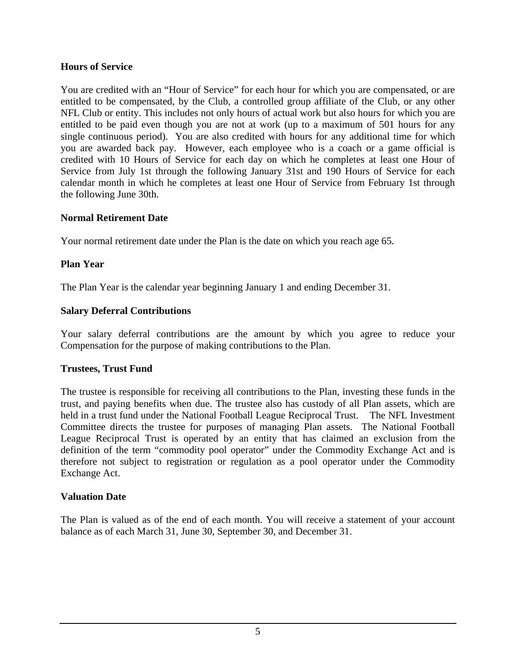#### **Hours of Service**

You are credited with an "Hour of Service" for each hour for which you are compensated, or are entitled to be compensated, by the Club, a controlled group affiliate of the Club, or any other NFL Club or entity. This includes not only hours of actual work but also hours for which you are entitled to be paid even though you are not at work (up to a maximum of 501 hours for any single continuous period). You are also credited with hours for any additional time for which you are awarded back pay. However, each employee who is a coach or a game official is credited with 10 Hours of Service for each day on which he completes at least one Hour of Service from July 1st through the following January 31st and 190 Hours of Service for each calendar month in which he completes at least one Hour of Service from February 1st through the following June 30th.

#### **Normal Retirement Date**

Your normal retirement date under the Plan is the date on which you reach age 65.

#### **Plan Year**

The Plan Year is the calendar year beginning January 1 and ending December 31.

#### **Salary Deferral Contributions**

Your salary deferral contributions are the amount by which you agree to reduce your Compensation for the purpose of making contributions to the Plan.

#### **Trustees, Trust Fund**

The trustee is responsible for receiving all contributions to the Plan, investing these funds in the trust, and paying benefits when due. The trustee also has custody of all Plan assets, which are held in a trust fund under the National Football League Reciprocal Trust. The NFL Investment Committee directs the trustee for purposes of managing Plan assets. The National Football League Reciprocal Trust is operated by an entity that has claimed an exclusion from the definition of the term "commodity pool operator" under the Commodity Exchange Act and is therefore not subject to registration or regulation as a pool operator under the Commodity Exchange Act.

#### **Valuation Date**

The Plan is valued as of the end of each month. You will receive a statement of your account balance as of each March 31, June 30, September 30, and December 31.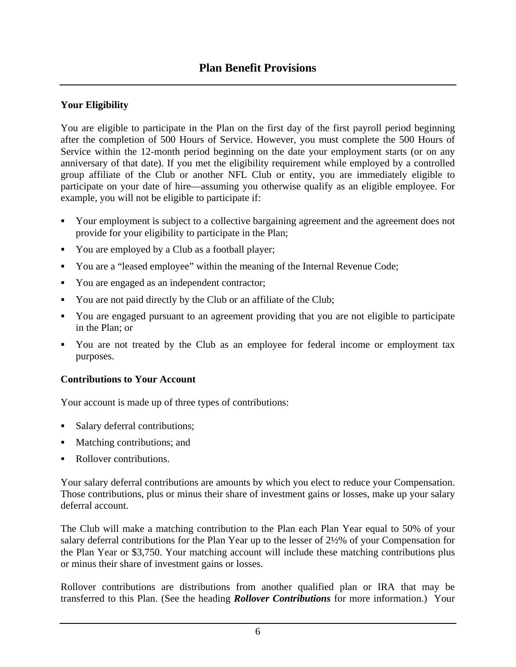## **Your Eligibility**

You are eligible to participate in the Plan on the first day of the first payroll period beginning after the completion of 500 Hours of Service. However, you must complete the 500 Hours of Service within the 12-month period beginning on the date your employment starts (or on any anniversary of that date). If you met the eligibility requirement while employed by a controlled group affiliate of the Club or another NFL Club or entity, you are immediately eligible to participate on your date of hire—assuming you otherwise qualify as an eligible employee. For example, you will not be eligible to participate if:

- Your employment is subject to a collective bargaining agreement and the agreement does not provide for your eligibility to participate in the Plan;
- You are employed by a Club as a football player;
- You are a "leased employee" within the meaning of the Internal Revenue Code;
- You are engaged as an independent contractor;
- You are not paid directly by the Club or an affiliate of the Club;
- You are engaged pursuant to an agreement providing that you are not eligible to participate in the Plan; or
- You are not treated by the Club as an employee for federal income or employment tax purposes.

# **Contributions to Your Account**

Your account is made up of three types of contributions:

- Salary deferral contributions;
- Matching contributions; and
- Rollover contributions.

Your salary deferral contributions are amounts by which you elect to reduce your Compensation. Those contributions, plus or minus their share of investment gains or losses, make up your salary deferral account.

The Club will make a matching contribution to the Plan each Plan Year equal to 50% of your salary deferral contributions for the Plan Year up to the lesser of 2½% of your Compensation for the Plan Year or \$3,750. Your matching account will include these matching contributions plus or minus their share of investment gains or losses.

Rollover contributions are distributions from another qualified plan or IRA that may be transferred to this Plan. (See the heading *Rollover Contributions* for more information.) Your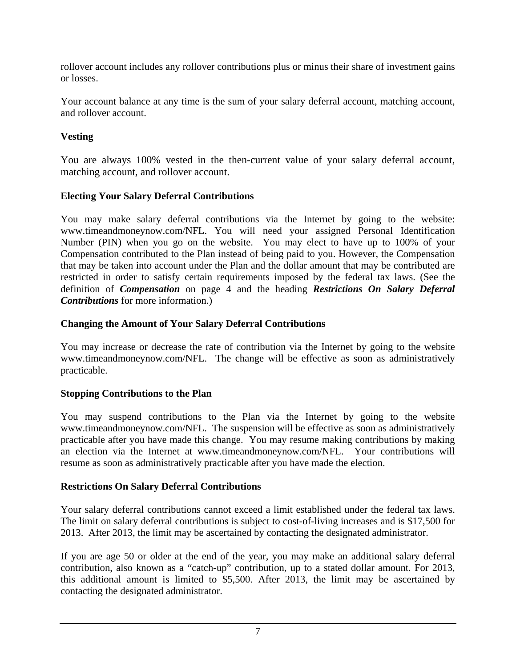rollover account includes any rollover contributions plus or minus their share of investment gains or losses.

Your account balance at any time is the sum of your salary deferral account, matching account, and rollover account.

### **Vesting**

You are always 100% vested in the then-current value of your salary deferral account, matching account, and rollover account.

### **Electing Your Salary Deferral Contributions**

You may make salary deferral contributions via the Internet by going to the website: www.timeandmoneynow.com/NFL. You will need your assigned Personal Identification Number (PIN) when you go on the website. You may elect to have up to 100% of your Compensation contributed to the Plan instead of being paid to you. However, the Compensation that may be taken into account under the Plan and the dollar amount that may be contributed are restricted in order to satisfy certain requirements imposed by the federal tax laws. (See the definition of *Compensation* on page 4 and the heading *Restrictions On Salary Deferral Contributions* for more information.)

# **Changing the Amount of Your Salary Deferral Contributions**

You may increase or decrease the rate of contribution via the Internet by going to the website www.timeandmoneynow.com/NFL. The change will be effective as soon as administratively practicable.

# **Stopping Contributions to the Plan**

You may suspend contributions to the Plan via the Internet by going to the website www.timeandmoneynow.com/NFL. The suspension will be effective as soon as administratively practicable after you have made this change. You may resume making contributions by making an election via the Internet at www.timeandmoneynow.com/NFL. Your contributions will resume as soon as administratively practicable after you have made the election.

# **Restrictions On Salary Deferral Contributions**

Your salary deferral contributions cannot exceed a limit established under the federal tax laws. The limit on salary deferral contributions is subject to cost-of-living increases and is \$17,500 for 2013. After 2013, the limit may be ascertained by contacting the designated administrator.

If you are age 50 or older at the end of the year, you may make an additional salary deferral contribution, also known as a "catch-up" contribution, up to a stated dollar amount. For 2013, this additional amount is limited to \$5,500. After 2013, the limit may be ascertained by contacting the designated administrator.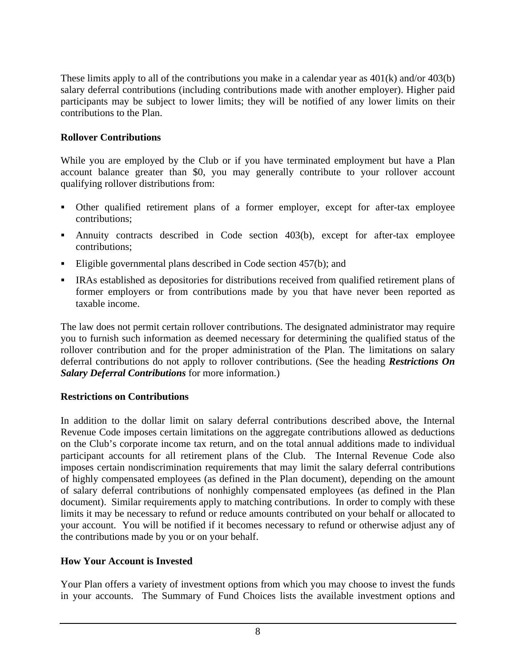These limits apply to all of the contributions you make in a calendar year as 401(k) and/or 403(b) salary deferral contributions (including contributions made with another employer). Higher paid participants may be subject to lower limits; they will be notified of any lower limits on their contributions to the Plan.

### **Rollover Contributions**

While you are employed by the Club or if you have terminated employment but have a Plan account balance greater than \$0, you may generally contribute to your rollover account qualifying rollover distributions from:

- Other qualified retirement plans of a former employer, except for after-tax employee contributions;
- Annuity contracts described in Code section 403(b), except for after-tax employee contributions;
- Eligible governmental plans described in Code section 457(b); and
- IRAs established as depositories for distributions received from qualified retirement plans of former employers or from contributions made by you that have never been reported as taxable income.

The law does not permit certain rollover contributions. The designated administrator may require you to furnish such information as deemed necessary for determining the qualified status of the rollover contribution and for the proper administration of the Plan. The limitations on salary deferral contributions do not apply to rollover contributions. (See the heading *Restrictions On Salary Deferral Contributions* for more information.)

### **Restrictions on Contributions**

In addition to the dollar limit on salary deferral contributions described above, the Internal Revenue Code imposes certain limitations on the aggregate contributions allowed as deductions on the Club's corporate income tax return, and on the total annual additions made to individual participant accounts for all retirement plans of the Club. The Internal Revenue Code also imposes certain nondiscrimination requirements that may limit the salary deferral contributions of highly compensated employees (as defined in the Plan document), depending on the amount of salary deferral contributions of nonhighly compensated employees (as defined in the Plan document). Similar requirements apply to matching contributions. In order to comply with these limits it may be necessary to refund or reduce amounts contributed on your behalf or allocated to your account. You will be notified if it becomes necessary to refund or otherwise adjust any of the contributions made by you or on your behalf.

### **How Your Account is Invested**

Your Plan offers a variety of investment options from which you may choose to invest the funds in your accounts. The Summary of Fund Choices lists the available investment options and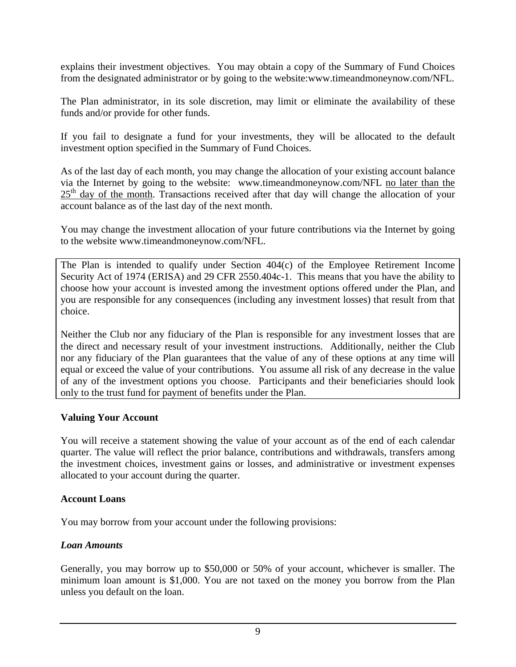explains their investment objectives. You may obtain a copy of the Summary of Fund Choices from the designated administrator or by going to the website:www.timeandmoneynow.com/NFL.

The Plan administrator, in its sole discretion, may limit or eliminate the availability of these funds and/or provide for other funds.

If you fail to designate a fund for your investments, they will be allocated to the default investment option specified in the Summary of Fund Choices.

As of the last day of each month, you may change the allocation of your existing account balance via the Internet by going to the website: www.timeandmoneynow.com/NFL no later than the  $25<sup>th</sup>$  day of the month. Transactions received after that day will change the allocation of your account balance as of the last day of the next month.

You may change the investment allocation of your future contributions via the Internet by going to the website www.timeandmoneynow.com/NFL.

The Plan is intended to qualify under Section 404(c) of the Employee Retirement Income Security Act of 1974 (ERISA) and 29 CFR 2550.404c-1. This means that you have the ability to choose how your account is invested among the investment options offered under the Plan, and you are responsible for any consequences (including any investment losses) that result from that choice.

Neither the Club nor any fiduciary of the Plan is responsible for any investment losses that are the direct and necessary result of your investment instructions. Additionally, neither the Club nor any fiduciary of the Plan guarantees that the value of any of these options at any time will equal or exceed the value of your contributions. You assume all risk of any decrease in the value of any of the investment options you choose. Participants and their beneficiaries should look only to the trust fund for payment of benefits under the Plan.

### **Valuing Your Account**

You will receive a statement showing the value of your account as of the end of each calendar quarter. The value will reflect the prior balance, contributions and withdrawals, transfers among the investment choices, investment gains or losses, and administrative or investment expenses allocated to your account during the quarter.

#### **Account Loans**

You may borrow from your account under the following provisions:

### *Loan Amounts*

Generally, you may borrow up to \$50,000 or 50% of your account, whichever is smaller. The minimum loan amount is \$1,000. You are not taxed on the money you borrow from the Plan unless you default on the loan.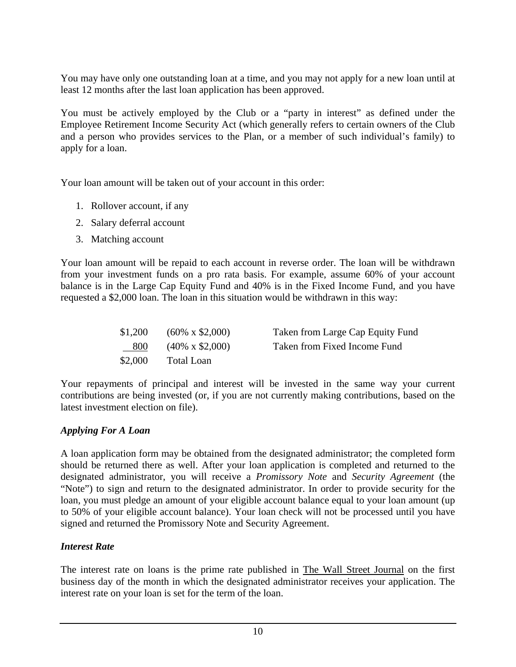You may have only one outstanding loan at a time, and you may not apply for a new loan until at least 12 months after the last loan application has been approved.

You must be actively employed by the Club or a "party in interest" as defined under the Employee Retirement Income Security Act (which generally refers to certain owners of the Club and a person who provides services to the Plan, or a member of such individual's family) to apply for a loan.

Your loan amount will be taken out of your account in this order:

- 1. Rollover account, if any
- 2. Salary deferral account
- 3. Matching account

Your loan amount will be repaid to each account in reverse order. The loan will be withdrawn from your investment funds on a pro rata basis. For example, assume 60% of your account balance is in the Large Cap Equity Fund and 40% is in the Fixed Income Fund, and you have requested a \$2,000 loan. The loan in this situation would be withdrawn in this way:

|         | $$1,200$ $(60\% \times $2,000)$ | Taken from Large Cap Equity Fund |
|---------|---------------------------------|----------------------------------|
| 800     | $(40\% \times $2,000)$          | Taken from Fixed Income Fund     |
| \$2,000 | Total Loan                      |                                  |

Your repayments of principal and interest will be invested in the same way your current contributions are being invested (or, if you are not currently making contributions, based on the latest investment election on file).

# *Applying For A Loan*

A loan application form may be obtained from the designated administrator; the completed form should be returned there as well. After your loan application is completed and returned to the designated administrator, you will receive a *Promissory Note* and *Security Agreement* (the "Note") to sign and return to the designated administrator. In order to provide security for the loan, you must pledge an amount of your eligible account balance equal to your loan amount (up to 50% of your eligible account balance). Your loan check will not be processed until you have signed and returned the Promissory Note and Security Agreement.

# *Interest Rate*

The interest rate on loans is the prime rate published in The Wall Street Journal on the first business day of the month in which the designated administrator receives your application. The interest rate on your loan is set for the term of the loan.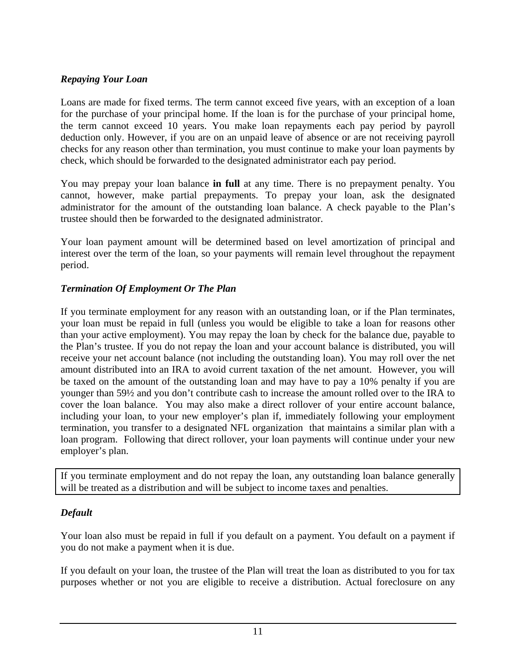### *Repaying Your Loan*

Loans are made for fixed terms. The term cannot exceed five years, with an exception of a loan for the purchase of your principal home. If the loan is for the purchase of your principal home, the term cannot exceed 10 years. You make loan repayments each pay period by payroll deduction only. However, if you are on an unpaid leave of absence or are not receiving payroll checks for any reason other than termination, you must continue to make your loan payments by check, which should be forwarded to the designated administrator each pay period.

You may prepay your loan balance **in full** at any time. There is no prepayment penalty. You cannot, however, make partial prepayments. To prepay your loan, ask the designated administrator for the amount of the outstanding loan balance. A check payable to the Plan's trustee should then be forwarded to the designated administrator.

Your loan payment amount will be determined based on level amortization of principal and interest over the term of the loan, so your payments will remain level throughout the repayment period.

# *Termination Of Employment Or The Plan*

If you terminate employment for any reason with an outstanding loan, or if the Plan terminates, your loan must be repaid in full (unless you would be eligible to take a loan for reasons other than your active employment). You may repay the loan by check for the balance due, payable to the Plan's trustee. If you do not repay the loan and your account balance is distributed, you will receive your net account balance (not including the outstanding loan). You may roll over the net amount distributed into an IRA to avoid current taxation of the net amount. However, you will be taxed on the amount of the outstanding loan and may have to pay a 10% penalty if you are younger than 59½ and you don't contribute cash to increase the amount rolled over to the IRA to cover the loan balance. You may also make a direct rollover of your entire account balance, including your loan, to your new employer's plan if, immediately following your employment termination, you transfer to a designated NFL organization that maintains a similar plan with a loan program. Following that direct rollover, your loan payments will continue under your new employer's plan.

If you terminate employment and do not repay the loan, any outstanding loan balance generally will be treated as a distribution and will be subject to income taxes and penalties.

### *Default*

Your loan also must be repaid in full if you default on a payment. You default on a payment if you do not make a payment when it is due.

If you default on your loan, the trustee of the Plan will treat the loan as distributed to you for tax purposes whether or not you are eligible to receive a distribution. Actual foreclosure on any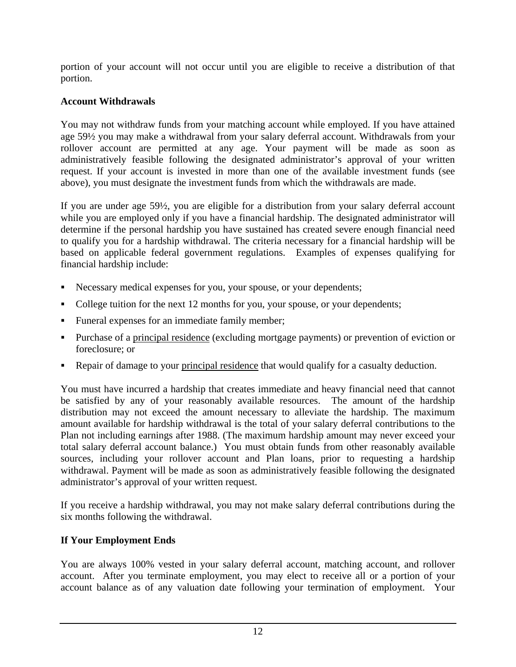portion of your account will not occur until you are eligible to receive a distribution of that portion.

## **Account Withdrawals**

You may not withdraw funds from your matching account while employed. If you have attained age 59½ you may make a withdrawal from your salary deferral account. Withdrawals from your rollover account are permitted at any age. Your payment will be made as soon as administratively feasible following the designated administrator's approval of your written request. If your account is invested in more than one of the available investment funds (see above), you must designate the investment funds from which the withdrawals are made.

If you are under age 59½, you are eligible for a distribution from your salary deferral account while you are employed only if you have a financial hardship. The designated administrator will determine if the personal hardship you have sustained has created severe enough financial need to qualify you for a hardship withdrawal. The criteria necessary for a financial hardship will be based on applicable federal government regulations. Examples of expenses qualifying for financial hardship include:

- Necessary medical expenses for you, your spouse, or your dependents;
- College tuition for the next 12 months for you, your spouse, or your dependents;
- Funeral expenses for an immediate family member;
- Purchase of a principal residence (excluding mortgage payments) or prevention of eviction or foreclosure; or
- Repair of damage to your principal residence that would qualify for a casualty deduction.

You must have incurred a hardship that creates immediate and heavy financial need that cannot be satisfied by any of your reasonably available resources. The amount of the hardship distribution may not exceed the amount necessary to alleviate the hardship. The maximum amount available for hardship withdrawal is the total of your salary deferral contributions to the Plan not including earnings after 1988. (The maximum hardship amount may never exceed your total salary deferral account balance.) You must obtain funds from other reasonably available sources, including your rollover account and Plan loans, prior to requesting a hardship withdrawal. Payment will be made as soon as administratively feasible following the designated administrator's approval of your written request.

If you receive a hardship withdrawal, you may not make salary deferral contributions during the six months following the withdrawal.

# **If Your Employment Ends**

You are always 100% vested in your salary deferral account, matching account, and rollover account. After you terminate employment, you may elect to receive all or a portion of your account balance as of any valuation date following your termination of employment. Your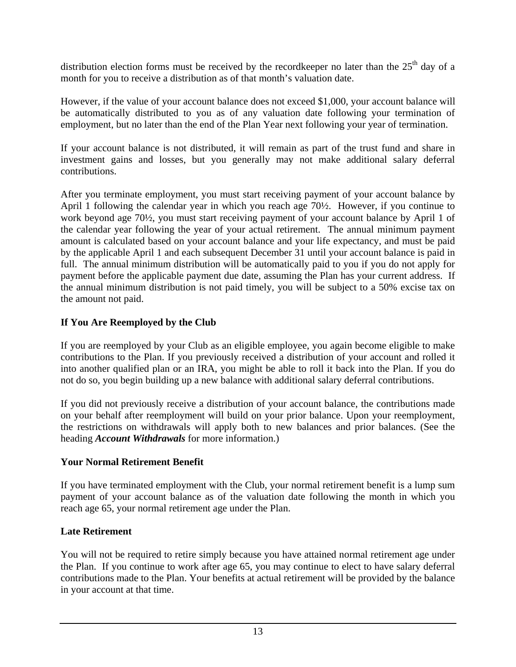distribution election forms must be received by the recordkeeper no later than the  $25<sup>th</sup>$  day of a month for you to receive a distribution as of that month's valuation date.

However, if the value of your account balance does not exceed \$1,000, your account balance will be automatically distributed to you as of any valuation date following your termination of employment, but no later than the end of the Plan Year next following your year of termination.

If your account balance is not distributed, it will remain as part of the trust fund and share in investment gains and losses, but you generally may not make additional salary deferral contributions.

After you terminate employment, you must start receiving payment of your account balance by April 1 following the calendar year in which you reach age 70½. However, if you continue to work beyond age 70½, you must start receiving payment of your account balance by April 1 of the calendar year following the year of your actual retirement. The annual minimum payment amount is calculated based on your account balance and your life expectancy, and must be paid by the applicable April 1 and each subsequent December 31 until your account balance is paid in full. The annual minimum distribution will be automatically paid to you if you do not apply for payment before the applicable payment due date, assuming the Plan has your current address. If the annual minimum distribution is not paid timely, you will be subject to a 50% excise tax on the amount not paid.

# **If You Are Reemployed by the Club**

If you are reemployed by your Club as an eligible employee, you again become eligible to make contributions to the Plan. If you previously received a distribution of your account and rolled it into another qualified plan or an IRA, you might be able to roll it back into the Plan. If you do not do so, you begin building up a new balance with additional salary deferral contributions.

If you did not previously receive a distribution of your account balance, the contributions made on your behalf after reemployment will build on your prior balance. Upon your reemployment, the restrictions on withdrawals will apply both to new balances and prior balances. (See the heading *Account Withdrawals* for more information.)

# **Your Normal Retirement Benefit**

If you have terminated employment with the Club, your normal retirement benefit is a lump sum payment of your account balance as of the valuation date following the month in which you reach age 65, your normal retirement age under the Plan.

# **Late Retirement**

You will not be required to retire simply because you have attained normal retirement age under the Plan. If you continue to work after age 65, you may continue to elect to have salary deferral contributions made to the Plan. Your benefits at actual retirement will be provided by the balance in your account at that time.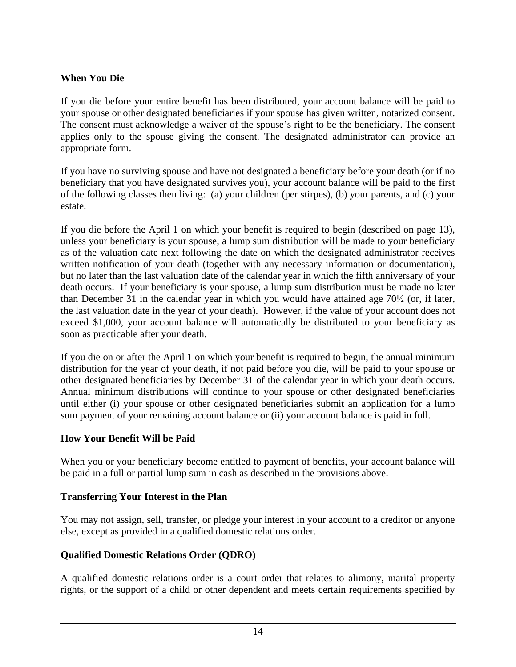### **When You Die**

If you die before your entire benefit has been distributed, your account balance will be paid to your spouse or other designated beneficiaries if your spouse has given written, notarized consent. The consent must acknowledge a waiver of the spouse's right to be the beneficiary. The consent applies only to the spouse giving the consent. The designated administrator can provide an appropriate form.

If you have no surviving spouse and have not designated a beneficiary before your death (or if no beneficiary that you have designated survives you), your account balance will be paid to the first of the following classes then living: (a) your children (per stirpes), (b) your parents, and (c) your estate.

If you die before the April 1 on which your benefit is required to begin (described on page 13), unless your beneficiary is your spouse, a lump sum distribution will be made to your beneficiary as of the valuation date next following the date on which the designated administrator receives written notification of your death (together with any necessary information or documentation), but no later than the last valuation date of the calendar year in which the fifth anniversary of your death occurs. If your beneficiary is your spouse, a lump sum distribution must be made no later than December 31 in the calendar year in which you would have attained age 70½ (or, if later, the last valuation date in the year of your death). However, if the value of your account does not exceed \$1,000, your account balance will automatically be distributed to your beneficiary as soon as practicable after your death.

If you die on or after the April 1 on which your benefit is required to begin, the annual minimum distribution for the year of your death, if not paid before you die, will be paid to your spouse or other designated beneficiaries by December 31 of the calendar year in which your death occurs. Annual minimum distributions will continue to your spouse or other designated beneficiaries until either (i) your spouse or other designated beneficiaries submit an application for a lump sum payment of your remaining account balance or (ii) your account balance is paid in full.

### **How Your Benefit Will be Paid**

When you or your beneficiary become entitled to payment of benefits, your account balance will be paid in a full or partial lump sum in cash as described in the provisions above.

### **Transferring Your Interest in the Plan**

You may not assign, sell, transfer, or pledge your interest in your account to a creditor or anyone else, except as provided in a qualified domestic relations order.

# **Qualified Domestic Relations Order (QDRO)**

A qualified domestic relations order is a court order that relates to alimony, marital property rights, or the support of a child or other dependent and meets certain requirements specified by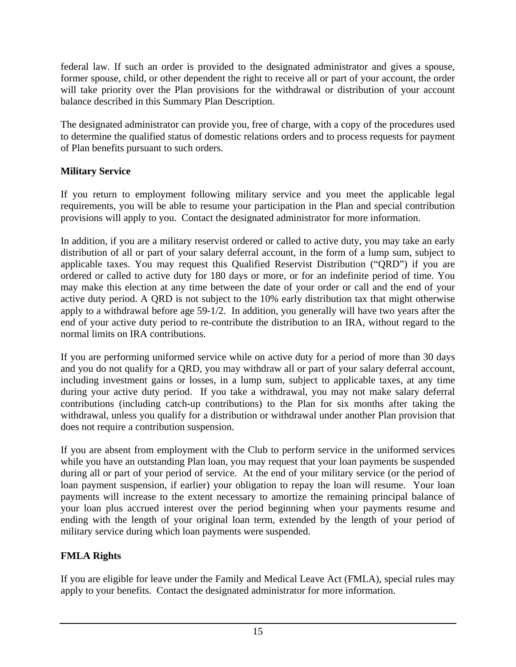federal law. If such an order is provided to the designated administrator and gives a spouse, former spouse, child, or other dependent the right to receive all or part of your account, the order will take priority over the Plan provisions for the withdrawal or distribution of your account balance described in this Summary Plan Description.

The designated administrator can provide you, free of charge, with a copy of the procedures used to determine the qualified status of domestic relations orders and to process requests for payment of Plan benefits pursuant to such orders.

# **Military Service**

If you return to employment following military service and you meet the applicable legal requirements, you will be able to resume your participation in the Plan and special contribution provisions will apply to you. Contact the designated administrator for more information.

In addition, if you are a military reservist ordered or called to active duty, you may take an early distribution of all or part of your salary deferral account, in the form of a lump sum, subject to applicable taxes. You may request this Qualified Reservist Distribution ("QRD") if you are ordered or called to active duty for 180 days or more, or for an indefinite period of time. You may make this election at any time between the date of your order or call and the end of your active duty period. A QRD is not subject to the 10% early distribution tax that might otherwise apply to a withdrawal before age 59-1/2. In addition, you generally will have two years after the end of your active duty period to re-contribute the distribution to an IRA, without regard to the normal limits on IRA contributions.

If you are performing uniformed service while on active duty for a period of more than 30 days and you do not qualify for a QRD, you may withdraw all or part of your salary deferral account, including investment gains or losses, in a lump sum, subject to applicable taxes, at any time during your active duty period. If you take a withdrawal, you may not make salary deferral contributions (including catch-up contributions) to the Plan for six months after taking the withdrawal, unless you qualify for a distribution or withdrawal under another Plan provision that does not require a contribution suspension.

If you are absent from employment with the Club to perform service in the uniformed services while you have an outstanding Plan loan, you may request that your loan payments be suspended during all or part of your period of service. At the end of your military service (or the period of loan payment suspension, if earlier) your obligation to repay the loan will resume. Your loan payments will increase to the extent necessary to amortize the remaining principal balance of your loan plus accrued interest over the period beginning when your payments resume and ending with the length of your original loan term, extended by the length of your period of military service during which loan payments were suspended.

# **FMLA Rights**

If you are eligible for leave under the Family and Medical Leave Act (FMLA), special rules may apply to your benefits. Contact the designated administrator for more information.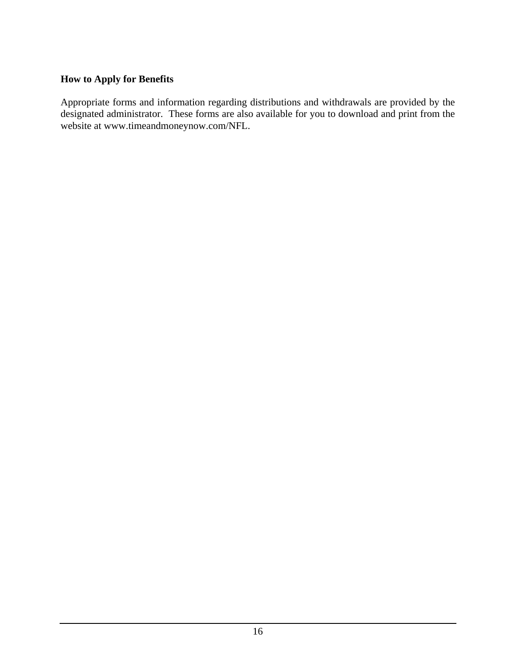#### **How to Apply for Benefits**

Appropriate forms and information regarding distributions and withdrawals are provided by the designated administrator. These forms are also available for you to download and print from the website at www.timeandmoneynow.com/NFL.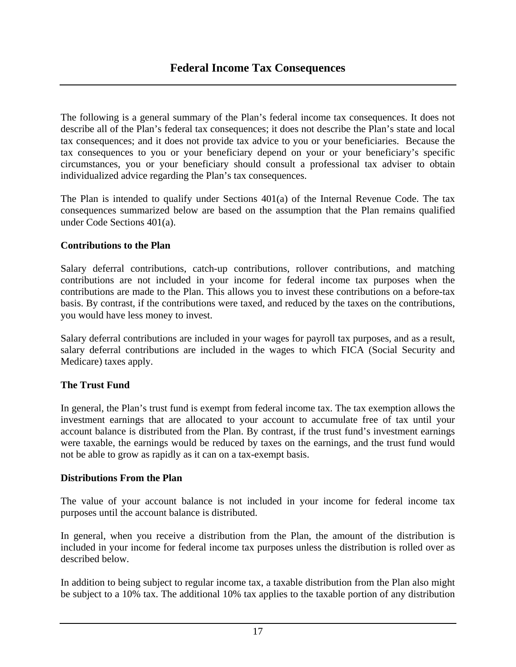The following is a general summary of the Plan's federal income tax consequences. It does not describe all of the Plan's federal tax consequences; it does not describe the Plan's state and local tax consequences; and it does not provide tax advice to you or your beneficiaries. Because the tax consequences to you or your beneficiary depend on your or your beneficiary's specific circumstances, you or your beneficiary should consult a professional tax adviser to obtain individualized advice regarding the Plan's tax consequences.

The Plan is intended to qualify under Sections 401(a) of the Internal Revenue Code. The tax consequences summarized below are based on the assumption that the Plan remains qualified under Code Sections 401(a).

### **Contributions to the Plan**

Salary deferral contributions, catch-up contributions, rollover contributions, and matching contributions are not included in your income for federal income tax purposes when the contributions are made to the Plan. This allows you to invest these contributions on a before-tax basis. By contrast, if the contributions were taxed, and reduced by the taxes on the contributions, you would have less money to invest.

Salary deferral contributions are included in your wages for payroll tax purposes, and as a result, salary deferral contributions are included in the wages to which FICA (Social Security and Medicare) taxes apply.

# **The Trust Fund**

In general, the Plan's trust fund is exempt from federal income tax. The tax exemption allows the investment earnings that are allocated to your account to accumulate free of tax until your account balance is distributed from the Plan. By contrast, if the trust fund's investment earnings were taxable, the earnings would be reduced by taxes on the earnings, and the trust fund would not be able to grow as rapidly as it can on a tax-exempt basis.

### **Distributions From the Plan**

The value of your account balance is not included in your income for federal income tax purposes until the account balance is distributed.

In general, when you receive a distribution from the Plan, the amount of the distribution is included in your income for federal income tax purposes unless the distribution is rolled over as described below.

In addition to being subject to regular income tax, a taxable distribution from the Plan also might be subject to a 10% tax. The additional 10% tax applies to the taxable portion of any distribution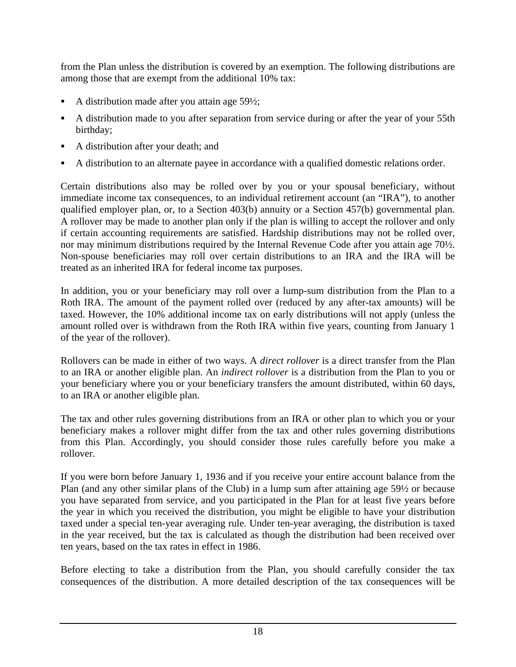from the Plan unless the distribution is covered by an exemption. The following distributions are among those that are exempt from the additional 10% tax:

- A distribution made after you attain age 59½;
- A distribution made to you after separation from service during or after the year of your 55th birthday;
- A distribution after your death; and
- A distribution to an alternate payee in accordance with a qualified domestic relations order.

Certain distributions also may be rolled over by you or your spousal beneficiary, without immediate income tax consequences, to an individual retirement account (an "IRA"), to another qualified employer plan, or, to a Section 403(b) annuity or a Section 457(b) governmental plan. A rollover may be made to another plan only if the plan is willing to accept the rollover and only if certain accounting requirements are satisfied. Hardship distributions may not be rolled over, nor may minimum distributions required by the Internal Revenue Code after you attain age 70½. Non-spouse beneficiaries may roll over certain distributions to an IRA and the IRA will be treated as an inherited IRA for federal income tax purposes.

In addition, you or your beneficiary may roll over a lump-sum distribution from the Plan to a Roth IRA. The amount of the payment rolled over (reduced by any after-tax amounts) will be taxed. However, the 10% additional income tax on early distributions will not apply (unless the amount rolled over is withdrawn from the Roth IRA within five years, counting from January 1 of the year of the rollover).

Rollovers can be made in either of two ways. A *direct rollover* is a direct transfer from the Plan to an IRA or another eligible plan. An *indirect rollover* is a distribution from the Plan to you or your beneficiary where you or your beneficiary transfers the amount distributed, within 60 days, to an IRA or another eligible plan.

The tax and other rules governing distributions from an IRA or other plan to which you or your beneficiary makes a rollover might differ from the tax and other rules governing distributions from this Plan. Accordingly, you should consider those rules carefully before you make a rollover.

If you were born before January 1, 1936 and if you receive your entire account balance from the Plan (and any other similar plans of the Club) in a lump sum after attaining age 59½ or because you have separated from service, and you participated in the Plan for at least five years before the year in which you received the distribution, you might be eligible to have your distribution taxed under a special ten-year averaging rule. Under ten-year averaging, the distribution is taxed in the year received, but the tax is calculated as though the distribution had been received over ten years, based on the tax rates in effect in 1986.

Before electing to take a distribution from the Plan, you should carefully consider the tax consequences of the distribution. A more detailed description of the tax consequences will be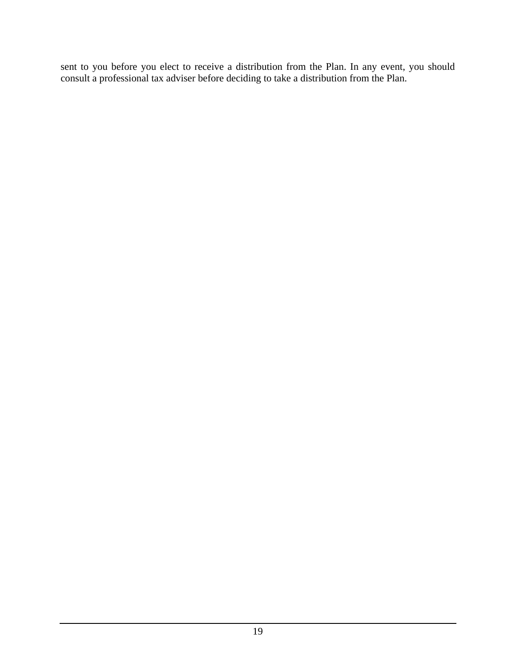sent to you before you elect to receive a distribution from the Plan. In any event, you should consult a professional tax adviser before deciding to take a distribution from the Plan.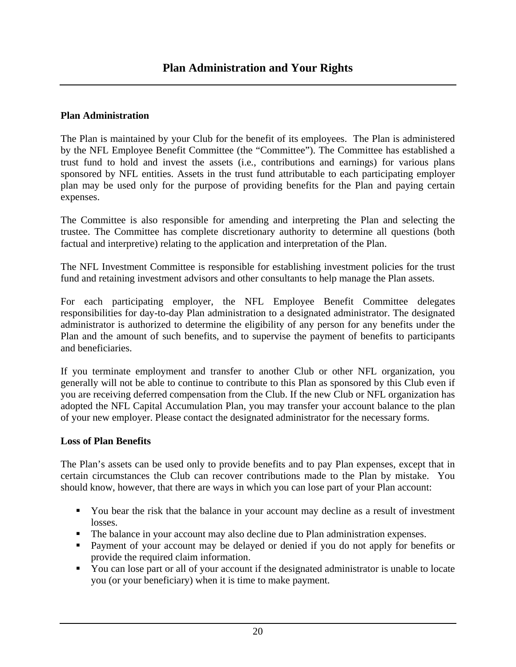#### **Plan Administration**

The Plan is maintained by your Club for the benefit of its employees. The Plan is administered by the NFL Employee Benefit Committee (the "Committee"). The Committee has established a trust fund to hold and invest the assets (i.e*.*, contributions and earnings) for various plans sponsored by NFL entities. Assets in the trust fund attributable to each participating employer plan may be used only for the purpose of providing benefits for the Plan and paying certain expenses.

The Committee is also responsible for amending and interpreting the Plan and selecting the trustee. The Committee has complete discretionary authority to determine all questions (both factual and interpretive) relating to the application and interpretation of the Plan.

The NFL Investment Committee is responsible for establishing investment policies for the trust fund and retaining investment advisors and other consultants to help manage the Plan assets.

For each participating employer, the NFL Employee Benefit Committee delegates responsibilities for day-to-day Plan administration to a designated administrator. The designated administrator is authorized to determine the eligibility of any person for any benefits under the Plan and the amount of such benefits, and to supervise the payment of benefits to participants and beneficiaries.

If you terminate employment and transfer to another Club or other NFL organization, you generally will not be able to continue to contribute to this Plan as sponsored by this Club even if you are receiving deferred compensation from the Club. If the new Club or NFL organization has adopted the NFL Capital Accumulation Plan, you may transfer your account balance to the plan of your new employer. Please contact the designated administrator for the necessary forms.

### **Loss of Plan Benefits**

The Plan's assets can be used only to provide benefits and to pay Plan expenses, except that in certain circumstances the Club can recover contributions made to the Plan by mistake. You should know, however, that there are ways in which you can lose part of your Plan account:

- You bear the risk that the balance in your account may decline as a result of investment losses.
- The balance in your account may also decline due to Plan administration expenses.
- **Payment of your account may be delayed or denied if you do not apply for benefits or** provide the required claim information.
- You can lose part or all of your account if the designated administrator is unable to locate you (or your beneficiary) when it is time to make payment.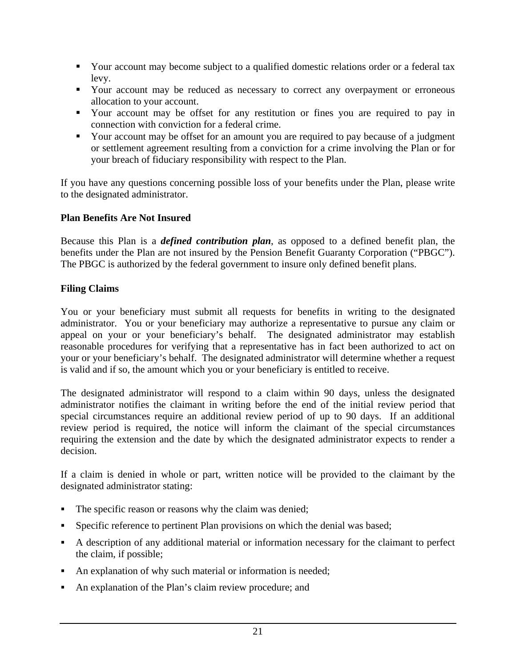- Your account may become subject to a qualified domestic relations order or a federal tax levy.
- Your account may be reduced as necessary to correct any overpayment or erroneous allocation to your account.
- Your account may be offset for any restitution or fines you are required to pay in connection with conviction for a federal crime.
- Your account may be offset for an amount you are required to pay because of a judgment or settlement agreement resulting from a conviction for a crime involving the Plan or for your breach of fiduciary responsibility with respect to the Plan.

If you have any questions concerning possible loss of your benefits under the Plan, please write to the designated administrator.

### **Plan Benefits Are Not Insured**

Because this Plan is a *defined contribution plan*, as opposed to a defined benefit plan, the benefits under the Plan are not insured by the Pension Benefit Guaranty Corporation ("PBGC"). The PBGC is authorized by the federal government to insure only defined benefit plans.

### **Filing Claims**

You or your beneficiary must submit all requests for benefits in writing to the designated administrator. You or your beneficiary may authorize a representative to pursue any claim or appeal on your or your beneficiary's behalf. The designated administrator may establish reasonable procedures for verifying that a representative has in fact been authorized to act on your or your beneficiary's behalf. The designated administrator will determine whether a request is valid and if so, the amount which you or your beneficiary is entitled to receive.

The designated administrator will respond to a claim within 90 days, unless the designated administrator notifies the claimant in writing before the end of the initial review period that special circumstances require an additional review period of up to 90 days. If an additional review period is required, the notice will inform the claimant of the special circumstances requiring the extension and the date by which the designated administrator expects to render a decision.

If a claim is denied in whole or part, written notice will be provided to the claimant by the designated administrator stating:

- The specific reason or reasons why the claim was denied;
- Specific reference to pertinent Plan provisions on which the denial was based;
- A description of any additional material or information necessary for the claimant to perfect the claim, if possible;
- An explanation of why such material or information is needed;
- An explanation of the Plan's claim review procedure; and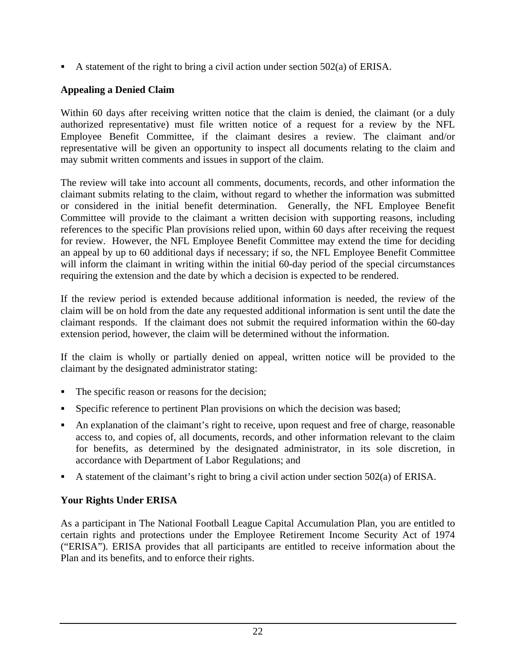A statement of the right to bring a civil action under section  $502(a)$  of ERISA.

## **Appealing a Denied Claim**

Within 60 days after receiving written notice that the claim is denied, the claimant (or a duly authorized representative) must file written notice of a request for a review by the NFL Employee Benefit Committee, if the claimant desires a review. The claimant and/or representative will be given an opportunity to inspect all documents relating to the claim and may submit written comments and issues in support of the claim.

The review will take into account all comments, documents, records, and other information the claimant submits relating to the claim, without regard to whether the information was submitted or considered in the initial benefit determination. Generally, the NFL Employee Benefit Committee will provide to the claimant a written decision with supporting reasons, including references to the specific Plan provisions relied upon, within 60 days after receiving the request for review. However, the NFL Employee Benefit Committee may extend the time for deciding an appeal by up to 60 additional days if necessary; if so, the NFL Employee Benefit Committee will inform the claimant in writing within the initial 60-day period of the special circumstances requiring the extension and the date by which a decision is expected to be rendered.

If the review period is extended because additional information is needed, the review of the claim will be on hold from the date any requested additional information is sent until the date the claimant responds. If the claimant does not submit the required information within the 60-day extension period, however, the claim will be determined without the information.

If the claim is wholly or partially denied on appeal, written notice will be provided to the claimant by the designated administrator stating:

- The specific reason or reasons for the decision;
- Specific reference to pertinent Plan provisions on which the decision was based;
- An explanation of the claimant's right to receive, upon request and free of charge, reasonable access to, and copies of, all documents, records, and other information relevant to the claim for benefits, as determined by the designated administrator, in its sole discretion, in accordance with Department of Labor Regulations; and
- A statement of the claimant's right to bring a civil action under section 502(a) of ERISA.

# **Your Rights Under ERISA**

As a participant in The National Football League Capital Accumulation Plan, you are entitled to certain rights and protections under the Employee Retirement Income Security Act of 1974 ("ERISA"). ERISA provides that all participants are entitled to receive information about the Plan and its benefits, and to enforce their rights.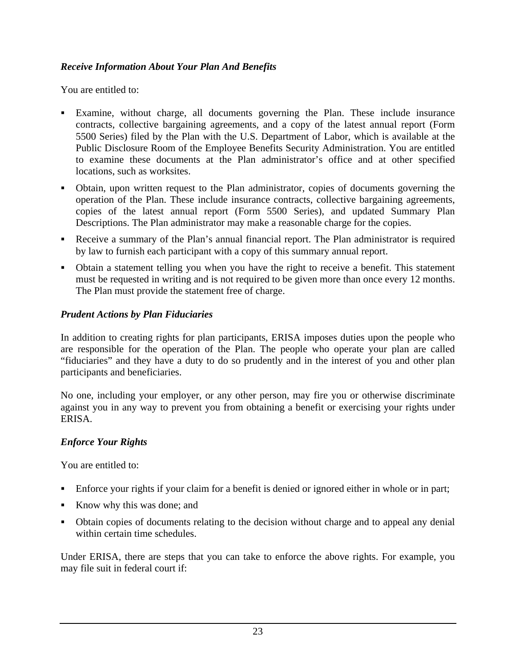### *Receive Information About Your Plan And Benefits*

You are entitled to:

- Examine, without charge, all documents governing the Plan. These include insurance contracts, collective bargaining agreements, and a copy of the latest annual report (Form 5500 Series) filed by the Plan with the U.S. Department of Labor, which is available at the Public Disclosure Room of the Employee Benefits Security Administration. You are entitled to examine these documents at the Plan administrator's office and at other specified locations, such as worksites.
- Obtain, upon written request to the Plan administrator, copies of documents governing the operation of the Plan. These include insurance contracts, collective bargaining agreements, copies of the latest annual report (Form 5500 Series), and updated Summary Plan Descriptions. The Plan administrator may make a reasonable charge for the copies.
- Receive a summary of the Plan's annual financial report. The Plan administrator is required by law to furnish each participant with a copy of this summary annual report.
- Obtain a statement telling you when you have the right to receive a benefit. This statement must be requested in writing and is not required to be given more than once every 12 months. The Plan must provide the statement free of charge.

### *Prudent Actions by Plan Fiduciaries*

In addition to creating rights for plan participants, ERISA imposes duties upon the people who are responsible for the operation of the Plan. The people who operate your plan are called "fiduciaries" and they have a duty to do so prudently and in the interest of you and other plan participants and beneficiaries.

No one, including your employer, or any other person, may fire you or otherwise discriminate against you in any way to prevent you from obtaining a benefit or exercising your rights under ERISA.

# *Enforce Your Rights*

You are entitled to:

- Enforce your rights if your claim for a benefit is denied or ignored either in whole or in part;
- Know why this was done; and
- Obtain copies of documents relating to the decision without charge and to appeal any denial within certain time schedules.

Under ERISA, there are steps that you can take to enforce the above rights. For example, you may file suit in federal court if: